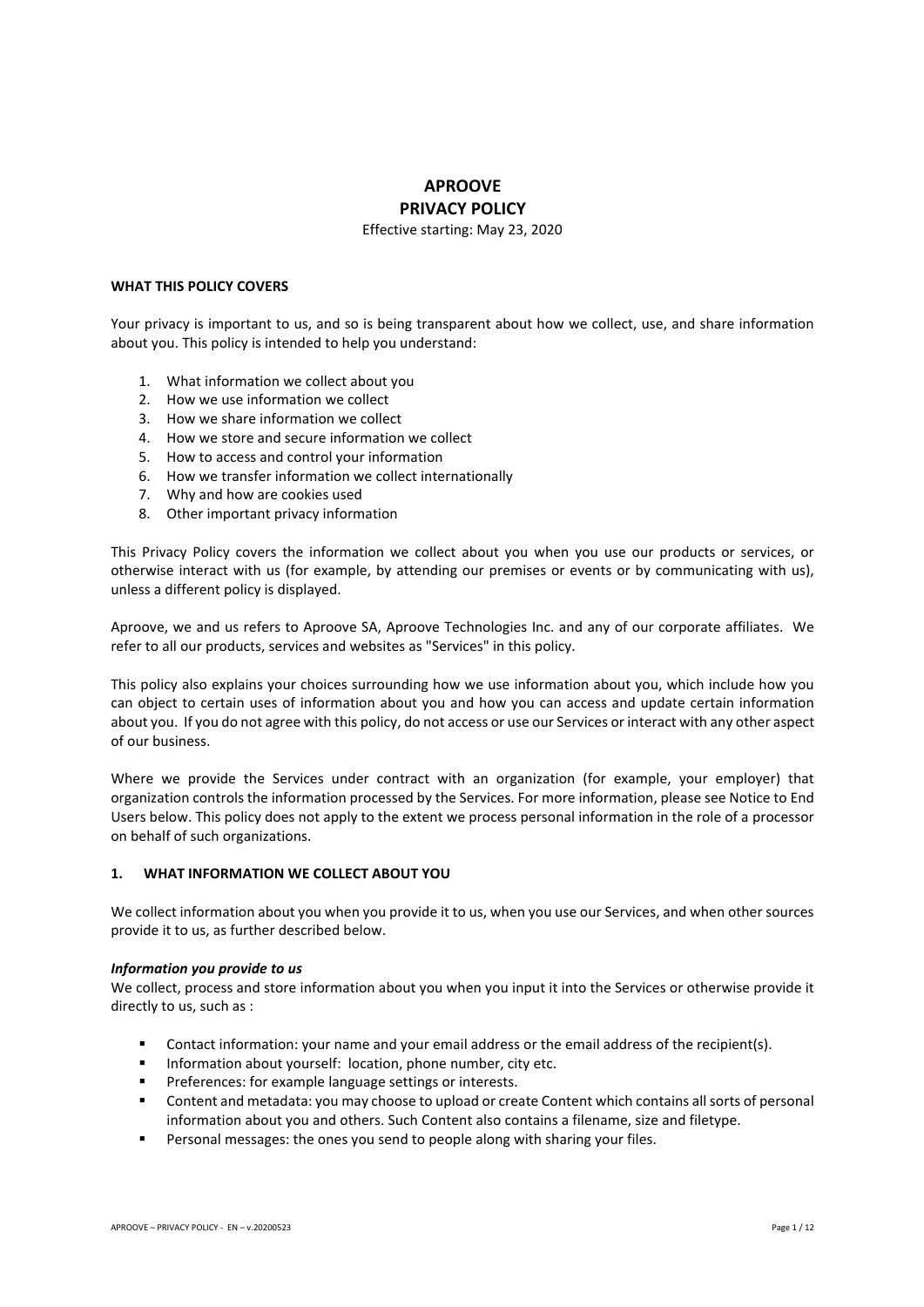# **APROOVE PRIVACY POLICY**

Effective starting: May 23, 2020

## **WHAT THIS POLICY COVERS**

Your privacy is important to us, and so is being transparent about how we collect, use, and share information about you. This policy is intended to help you understand:

- 1. What information we collect about you
- 2. How we use information we collect
- 3. How we share information we collect
- 4. How we store and secure information we collect
- 5. How to access and control your information
- 6. How we transfer information we collect internationally
- 7. Why and how are cookies used
- 8. Other important privacy information

This Privacy Policy covers the information we collect about you when you use our products or services, or otherwise interact with us (for example, by attending our premises or events or by communicating with us), unless a different policy is displayed.

Aproove, we and us refers to Aproove SA, Aproove Technologies Inc. and any of our corporate affiliates. We refer to all our products, services and websites as "Services" in this policy.

This policy also explains your choices surrounding how we use information about you, which include how you can object to certain uses of information about you and how you can access and update certain information about you. If you do not agree with this policy, do not access or use our Services or interact with any other aspect of our business.

Where we provide the Services under contract with an organization (for example, your employer) that organization controls the information processed by the Services. For more information, please see Notice to End Users below. This policy does not apply to the extent we process personal information in the role of a processor on behalf of such organizations.

# **1. WHAT INFORMATION WE COLLECT ABOUT YOU**

We collect information about you when you provide it to us, when you use our Services, and when other sources provide it to us, as further described below.

#### *Information you provide to us*

We collect, process and store information about you when you input it into the Services or otherwise provide it directly to us, such as :

- Contact information: your name and your email address or the email address of the recipient(s).
- Information about yourself: location, phone number, city etc.
- Preferences: for example language settings or interests.
- Content and metadata: you may choose to upload or create Content which contains all sorts of personal information about you and others. Such Content also contains a filename, size and filetype.
- Personal messages: the ones you send to people along with sharing your files.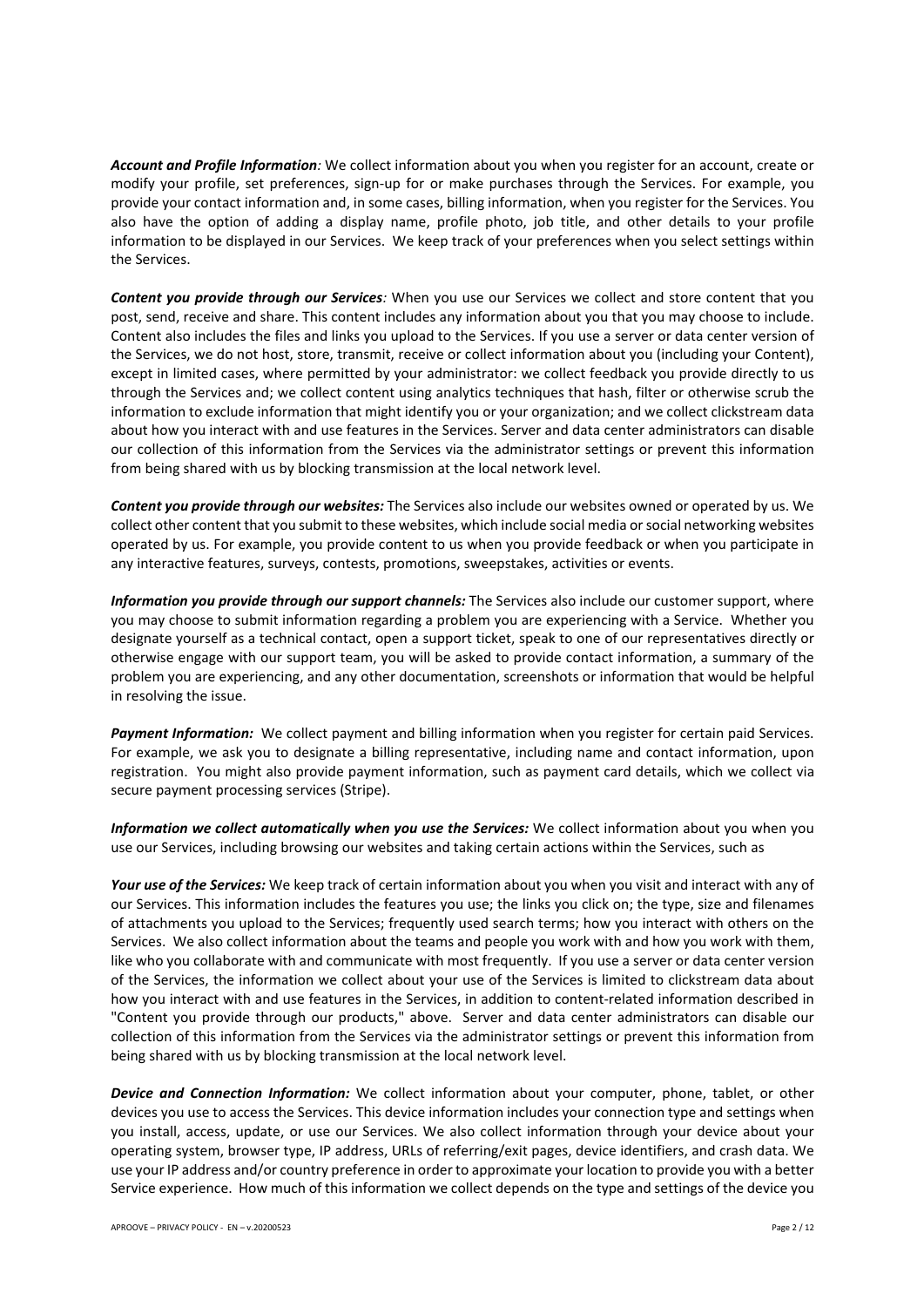*Account and Profile Information:* We collect information about you when you register for an account, create or modify your profile, set preferences, sign-up for or make purchases through the Services. For example, you provide your contact information and, in some cases, billing information, when you register for the Services. You also have the option of adding a display name, profile photo, job title, and other details to your profile information to be displayed in our Services. We keep track of your preferences when you select settings within the Services.

*Content you provide through our Services:* When you use our Services we collect and store content that you post, send, receive and share. This content includes any information about you that you may choose to include. Content also includes the files and links you upload to the Services. If you use a server or data center version of the Services, we do not host, store, transmit, receive or collect information about you (including your Content), except in limited cases, where permitted by your administrator: we collect feedback you provide directly to us through the Services and; we collect content using analytics techniques that hash, filter or otherwise scrub the information to exclude information that might identify you or your organization; and we collect clickstream data about how you interact with and use features in the Services. Server and data center administrators can disable our collection of this information from the Services via the administrator settings or prevent this information from being shared with us by blocking transmission at the local network level.

*Content you provide through our websites:* The Services also include our websites owned or operated by us. We collect other content that you submit to these websites, which include social media or social networking websites operated by us. For example, you provide content to us when you provide feedback or when you participate in any interactive features, surveys, contests, promotions, sweepstakes, activities or events.

*Information you provide through our support channels:* The Services also include our customer support, where you may choose to submit information regarding a problem you are experiencing with a Service. Whether you designate yourself as a technical contact, open a support ticket, speak to one of our representatives directly or otherwise engage with our support team, you will be asked to provide contact information, a summary of the problem you are experiencing, and any other documentation, screenshots or information that would be helpful in resolving the issue.

*Payment Information:* We collect payment and billing information when you register for certain paid Services. For example, we ask you to designate a billing representative, including name and contact information, upon registration. You might also provide payment information, such as payment card details, which we collect via secure payment processing services (Stripe).

*Information we collect automatically when you use the Services:* We collect information about you when you use our Services, including browsing our websites and taking certain actions within the Services, such as

*Your use of the Services:* We keep track of certain information about you when you visit and interact with any of our Services. This information includes the features you use; the links you click on; the type, size and filenames of attachments you upload to the Services; frequently used search terms; how you interact with others on the Services. We also collect information about the teams and people you work with and how you work with them, like who you collaborate with and communicate with most frequently. If you use a server or data center version of the Services, the information we collect about your use of the Services is limited to clickstream data about how you interact with and use features in the Services, in addition to content-related information described in "Content you provide through our products," above. Server and data center administrators can disable our collection of this information from the Services via the administrator settings or prevent this information from being shared with us by blocking transmission at the local network level.

*Device and Connection Information:* We collect information about your computer, phone, tablet, or other devices you use to access the Services. This device information includes your connection type and settings when you install, access, update, or use our Services. We also collect information through your device about your operating system, browser type, IP address, URLs of referring/exit pages, device identifiers, and crash data. We use your IP address and/or country preference in order to approximate your location to provide you with a better Service experience. How much of this information we collect depends on the type and settings of the device you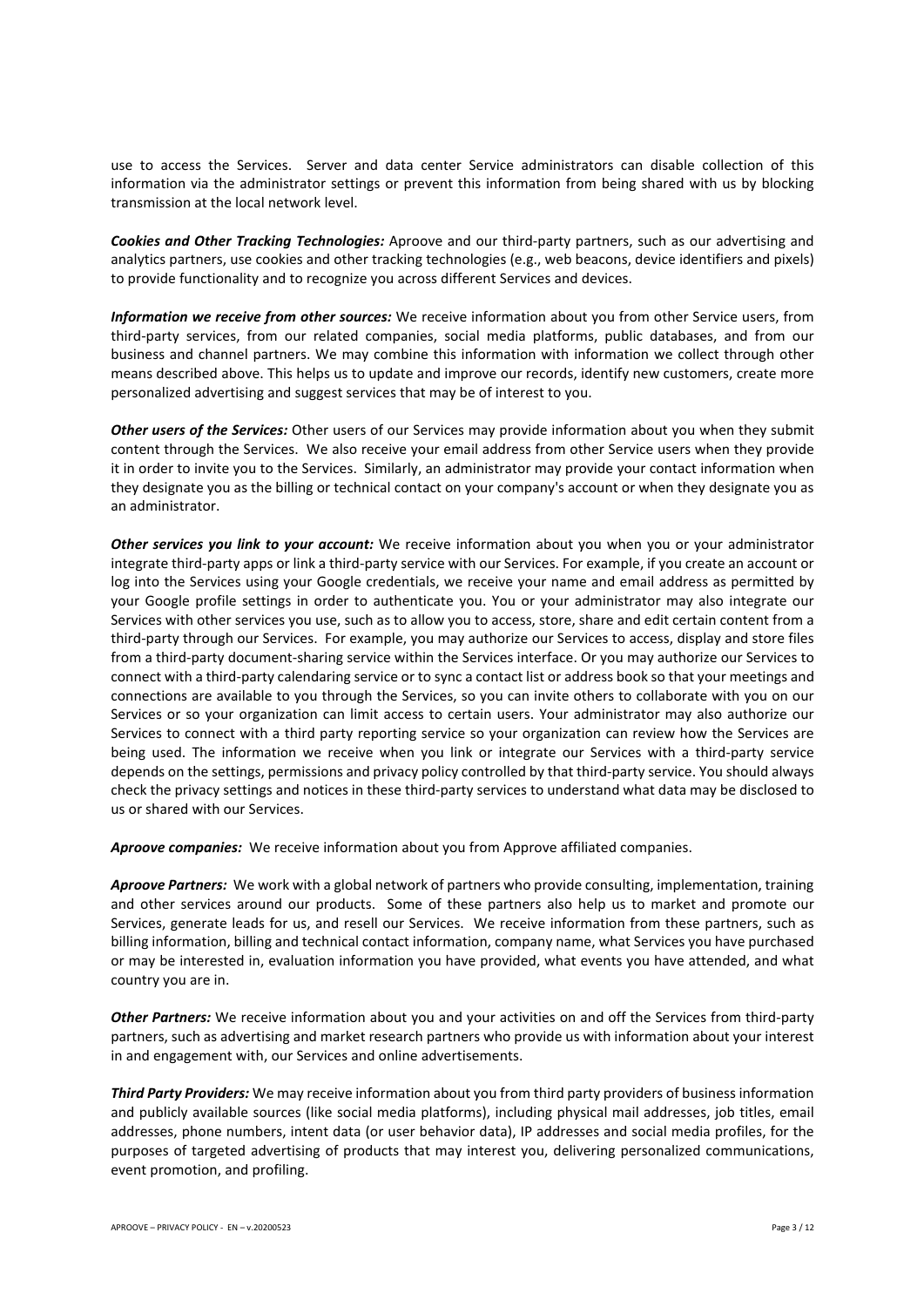use to access the Services. Server and data center Service administrators can disable collection of this information via the administrator settings or prevent this information from being shared with us by blocking transmission at the local network level.

*Cookies and Other Tracking Technologies:* Aproove and our third-party partners, such as our advertising and analytics partners, use cookies and other tracking technologies (e.g., web beacons, device identifiers and pixels) to provide functionality and to recognize you across different Services and devices.

*Information we receive from other sources:* We receive information about you from other Service users, from third-party services, from our related companies, social media platforms, public databases, and from our business and channel partners. We may combine this information with information we collect through other means described above. This helps us to update and improve our records, identify new customers, create more personalized advertising and suggest services that may be of interest to you.

*Other users of the Services:* Other users of our Services may provide information about you when they submit content through the Services. We also receive your email address from other Service users when they provide it in order to invite you to the Services. Similarly, an administrator may provide your contact information when they designate you as the billing or technical contact on your company's account or when they designate you as an administrator.

*Other services you link to your account:* We receive information about you when you or your administrator integrate third-party apps or link a third-party service with our Services. For example, if you create an account or log into the Services using your Google credentials, we receive your name and email address as permitted by your Google profile settings in order to authenticate you. You or your administrator may also integrate our Services with other services you use, such as to allow you to access, store, share and edit certain content from a third-party through our Services. For example, you may authorize our Services to access, display and store files from a third-party document-sharing service within the Services interface. Or you may authorize our Services to connect with a third-party calendaring service or to sync a contact list or address book so that your meetings and connections are available to you through the Services, so you can invite others to collaborate with you on our Services or so your organization can limit access to certain users. Your administrator may also authorize our Services to connect with a third party reporting service so your organization can review how the Services are being used. The information we receive when you link or integrate our Services with a third-party service depends on the settings, permissions and privacy policy controlled by that third-party service. You should always check the privacy settings and notices in these third-party services to understand what data may be disclosed to us or shared with our Services.

*Aproove companies:* We receive information about you from Approve affiliated companies.

*Aproove Partners:* We work with a global network of partners who provide consulting, implementation, training and other services around our products. Some of these partners also help us to market and promote our Services, generate leads for us, and resell our Services. We receive information from these partners, such as billing information, billing and technical contact information, company name, what Services you have purchased or may be interested in, evaluation information you have provided, what events you have attended, and what country you are in.

*Other Partners:* We receive information about you and your activities on and off the Services from third-party partners, such as advertising and market research partners who provide us with information about your interest in and engagement with, our Services and online advertisements.

*Third Party Providers:* We may receive information about you from third party providers of business information and publicly available sources (like social media platforms), including physical mail addresses, job titles, email addresses, phone numbers, intent data (or user behavior data), IP addresses and social media profiles, for the purposes of targeted advertising of products that may interest you, delivering personalized communications, event promotion, and profiling.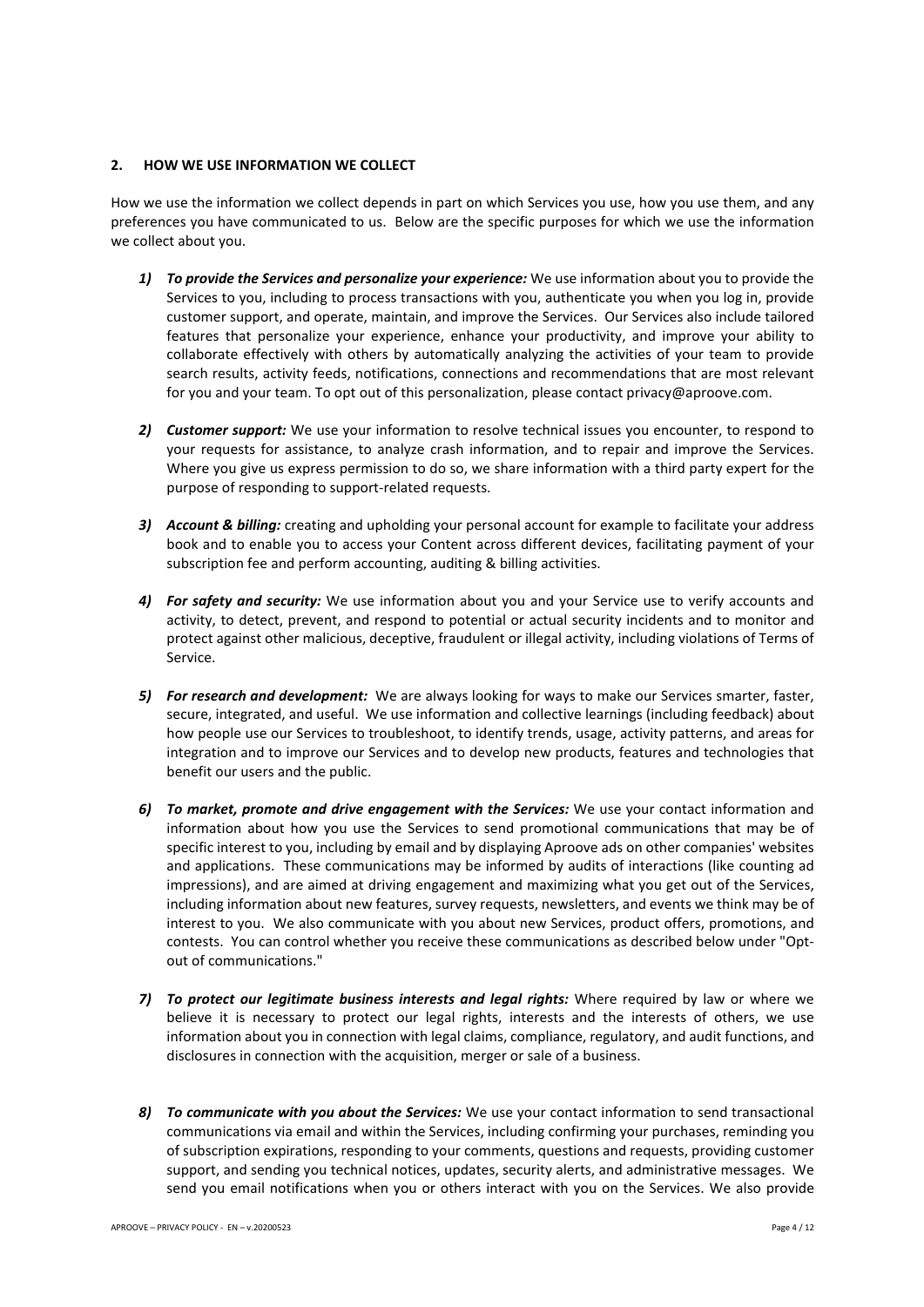## **2. HOW WE USE INFORMATION WE COLLECT**

How we use the information we collect depends in part on which Services you use, how you use them, and any preferences you have communicated to us. Below are the specific purposes for which we use the information we collect about you.

- *1) To provide the Services and personalize your experience:* We use information about you to provide the Services to you, including to process transactions with you, authenticate you when you log in, provide customer support, and operate, maintain, and improve the Services. Our Services also include tailored features that personalize your experience, enhance your productivity, and improve your ability to collaborate effectively with others by automatically analyzing the activities of your team to provide search results, activity feeds, notifications, connections and recommendations that are most relevant for you and your team. To opt out of this personalization, please contact privacy@aproove.com.
- *2) Customer support:* We use your information to resolve technical issues you encounter, to respond to your requests for assistance, to analyze crash information, and to repair and improve the Services. Where you give us express permission to do so, we share information with a third party expert for the purpose of responding to support-related requests.
- *3) Account & billing:* creating and upholding your personal account for example to facilitate your address book and to enable you to access your Content across different devices, facilitating payment of your subscription fee and perform accounting, auditing & billing activities.
- *4) For safety and security:* We use information about you and your Service use to verify accounts and activity, to detect, prevent, and respond to potential or actual security incidents and to monitor and protect against other malicious, deceptive, fraudulent or illegal activity, including violations of Terms of Service.
- *5) For research and development:* We are always looking for ways to make our Services smarter, faster, secure, integrated, and useful. We use information and collective learnings (including feedback) about how people use our Services to troubleshoot, to identify trends, usage, activity patterns, and areas for integration and to improve our Services and to develop new products, features and technologies that benefit our users and the public.
- *6) To market, promote and drive engagement with the Services:* We use your contact information and information about how you use the Services to send promotional communications that may be of specific interest to you, including by email and by displaying Aproove ads on other companies' websites and applications. These communications may be informed by audits of interactions (like counting ad impressions), and are aimed at driving engagement and maximizing what you get out of the Services, including information about new features, survey requests, newsletters, and events we think may be of interest to you. We also communicate with you about new Services, product offers, promotions, and contests. You can control whether you receive these communications as described below under "Optout of communications."
- *7) To protect our legitimate business interests and legal rights:* Where required by law or where we believe it is necessary to protect our legal rights, interests and the interests of others, we use information about you in connection with legal claims, compliance, regulatory, and audit functions, and disclosures in connection with the acquisition, merger or sale of a business.
- *8) To communicate with you about the Services:* We use your contact information to send transactional communications via email and within the Services, including confirming your purchases, reminding you of subscription expirations, responding to your comments, questions and requests, providing customer support, and sending you technical notices, updates, security alerts, and administrative messages. We send you email notifications when you or others interact with you on the Services. We also provide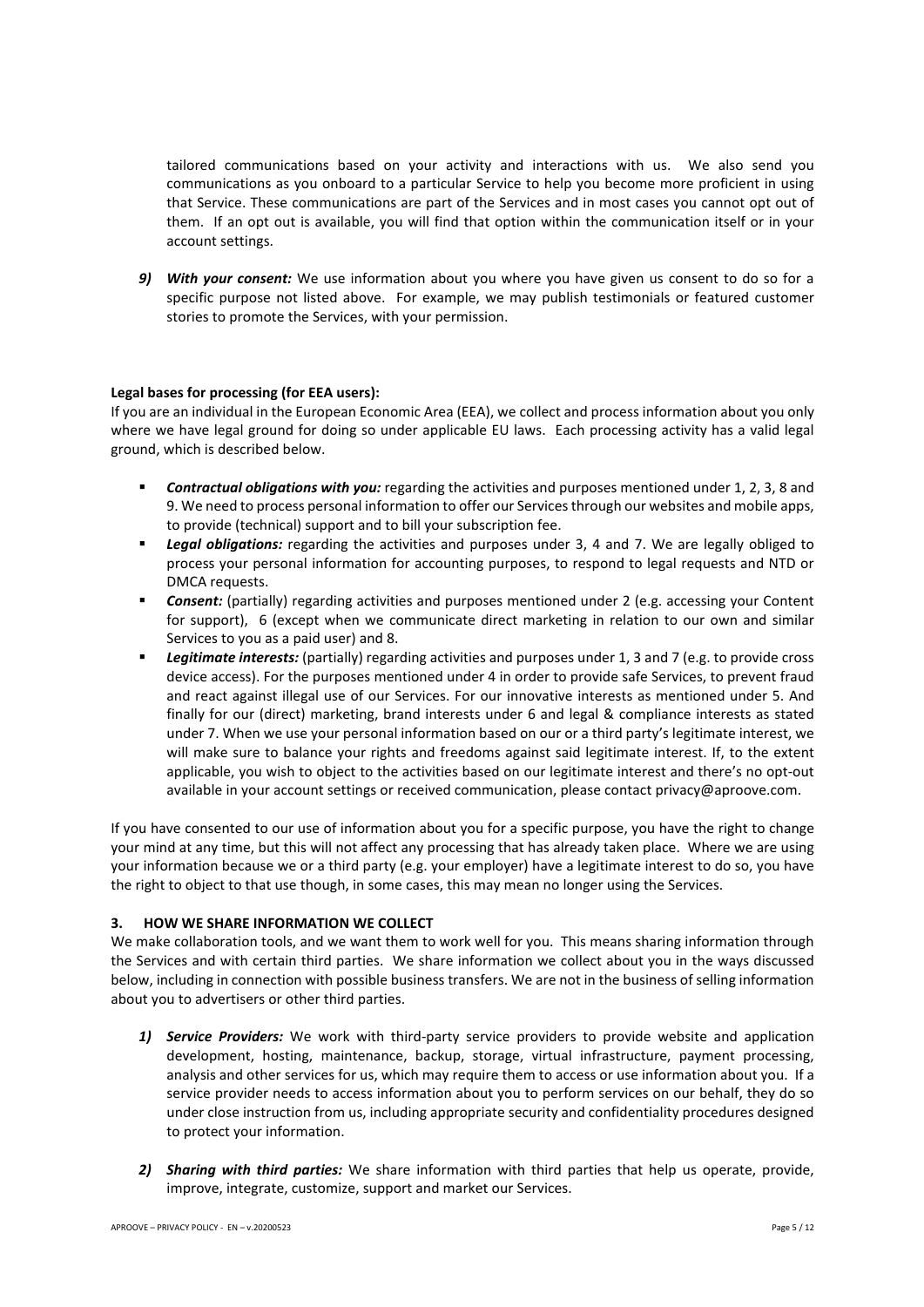tailored communications based on your activity and interactions with us. We also send you communications as you onboard to a particular Service to help you become more proficient in using that Service. These communications are part of the Services and in most cases you cannot opt out of them. If an opt out is available, you will find that option within the communication itself or in your account settings.

*9) With your consent:* We use information about you where you have given us consent to do so for a specific purpose not listed above. For example, we may publish testimonials or featured customer stories to promote the Services, with your permission.

# **Legal bases for processing (for EEA users):**

If you are an individual in the European Economic Area (EEA), we collect and process information about you only where we have legal ground for doing so under applicable EU laws. Each processing activity has a valid legal ground, which is described below.

- § *Contractual obligations with you:* regarding the activities and purposes mentioned under 1, 2, 3, 8 and 9. We need to process personal information to offer our Services through our websites and mobile apps, to provide (technical) support and to bill your subscription fee.
- § *Legal obligations:* regarding the activities and purposes under 3, 4 and 7. We are legally obliged to process your personal information for accounting purposes, to respond to legal requests and NTD or DMCA requests.
- **• Consent:** (partially) regarding activities and purposes mentioned under 2 (e.g. accessing your Content for support), 6 (except when we communicate direct marketing in relation to our own and similar Services to you as a paid user) and 8.
- § *Legitimate interests:* (partially) regarding activities and purposes under 1, 3 and 7 (e.g. to provide cross device access). For the purposes mentioned under 4 in order to provide safe Services, to prevent fraud and react against illegal use of our Services. For our innovative interests as mentioned under 5. And finally for our (direct) marketing, brand interests under 6 and legal & compliance interests as stated under 7. When we use your personal information based on our or a third party's legitimate interest, we will make sure to balance your rights and freedoms against said legitimate interest. If, to the extent applicable, you wish to object to the activities based on our legitimate interest and there's no opt-out available in your account settings or received communication, please contact privacy@aproove.com.

If you have consented to our use of information about you for a specific purpose, you have the right to change your mind at any time, but this will not affect any processing that has already taken place. Where we are using your information because we or a third party (e.g. your employer) have a legitimate interest to do so, you have the right to object to that use though, in some cases, this may mean no longer using the Services.

# **3. HOW WE SHARE INFORMATION WE COLLECT**

We make collaboration tools, and we want them to work well for you. This means sharing information through the Services and with certain third parties. We share information we collect about you in the ways discussed below, including in connection with possible business transfers. We are not in the business of selling information about you to advertisers or other third parties.

- 1) **Service Providers:** We work with third-party service providers to provide website and application development, hosting, maintenance, backup, storage, virtual infrastructure, payment processing, analysis and other services for us, which may require them to access or use information about you. If a service provider needs to access information about you to perform services on our behalf, they do so under close instruction from us, including appropriate security and confidentiality procedures designed to protect your information.
- *2) Sharing with third parties:* We share information with third parties that help us operate, provide, improve, integrate, customize, support and market our Services.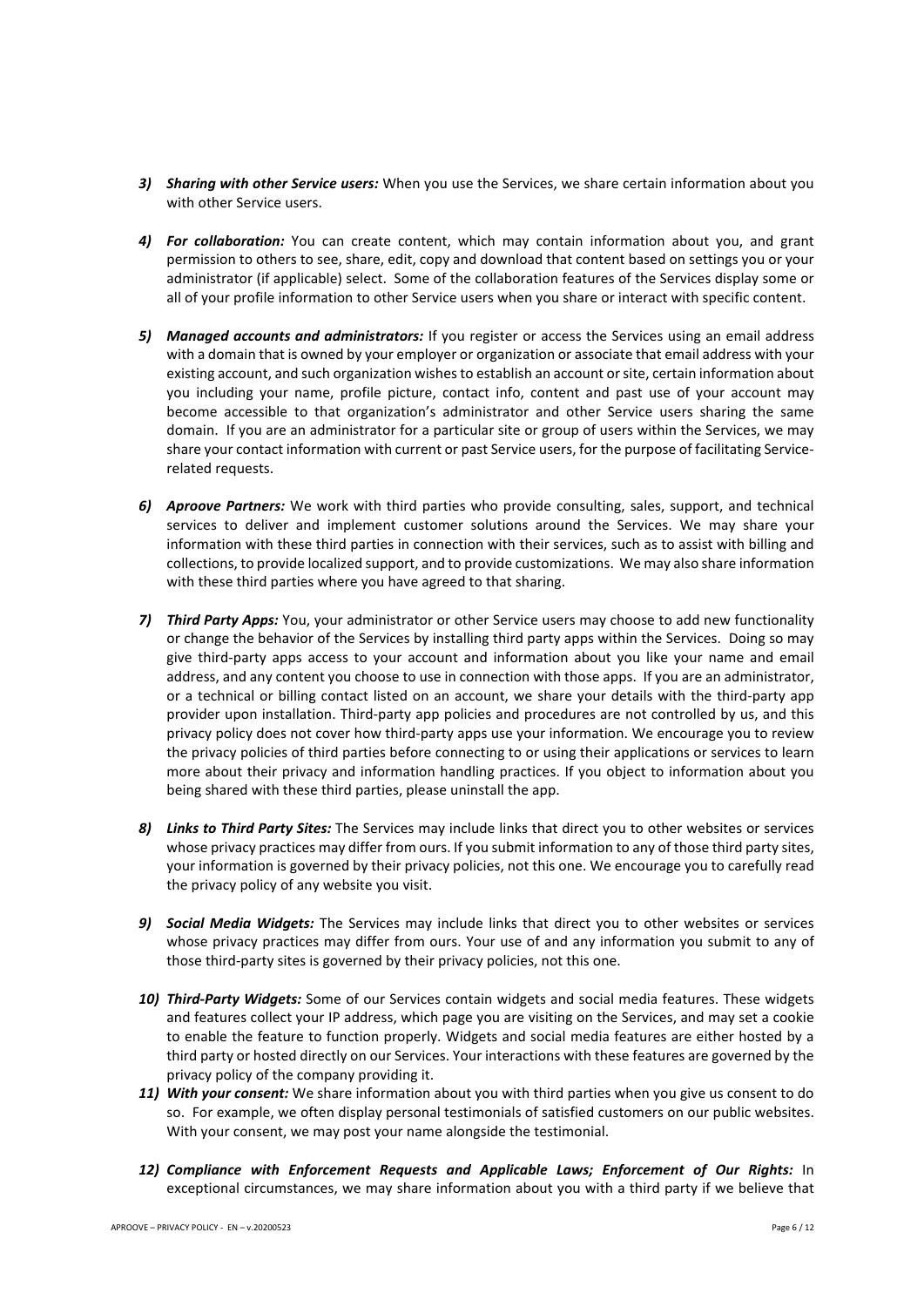- *3) Sharing with other Service users:* When you use the Services, we share certain information about you with other Service users.
- *4) For collaboration:* You can create content, which may contain information about you, and grant permission to others to see, share, edit, copy and download that content based on settings you or your administrator (if applicable) select. Some of the collaboration features of the Services display some or all of your profile information to other Service users when you share or interact with specific content.
- *5) Managed accounts and administrators:* If you register or access the Services using an email address with a domain that is owned by your employer or organization or associate that email address with your existing account, and such organization wishes to establish an account or site, certain information about you including your name, profile picture, contact info, content and past use of your account may become accessible to that organization's administrator and other Service users sharing the same domain. If you are an administrator for a particular site or group of users within the Services, we may share your contact information with current or past Service users, for the purpose of facilitating Servicerelated requests.
- *6) Aproove Partners:* We work with third parties who provide consulting, sales, support, and technical services to deliver and implement customer solutions around the Services. We may share your information with these third parties in connection with their services, such as to assist with billing and collections, to provide localized support, and to provide customizations. We may also share information with these third parties where you have agreed to that sharing.
- *7) Third Party Apps:* You, your administrator or other Service users may choose to add new functionality or change the behavior of the Services by installing third party apps within the Services. Doing so may give third-party apps access to your account and information about you like your name and email address, and any content you choose to use in connection with those apps. If you are an administrator, or a technical or billing contact listed on an account, we share your details with the third-party app provider upon installation. Third-party app policies and procedures are not controlled by us, and this privacy policy does not cover how third-party apps use your information. We encourage you to review the privacy policies of third parties before connecting to or using their applications or services to learn more about their privacy and information handling practices. If you object to information about you being shared with these third parties, please uninstall the app.
- *8) Links to Third Party Sites:* The Services may include links that direct you to other websites or services whose privacy practices may differ from ours. If you submit information to any of those third party sites, your information is governed by their privacy policies, not this one. We encourage you to carefully read the privacy policy of any website you visit.
- *9) Social Media Widgets:* The Services may include links that direct you to other websites or services whose privacy practices may differ from ours. Your use of and any information you submit to any of those third-party sites is governed by their privacy policies, not this one.
- *10) Third-Party Widgets:* Some of our Services contain widgets and social media features. These widgets and features collect your IP address, which page you are visiting on the Services, and may set a cookie to enable the feature to function properly. Widgets and social media features are either hosted by a third party or hosted directly on our Services. Your interactions with these features are governed by the privacy policy of the company providing it.
- *11) With your consent:* We share information about you with third parties when you give us consent to do so. For example, we often display personal testimonials of satisfied customers on our public websites. With your consent, we may post your name alongside the testimonial.
- *12) Compliance with Enforcement Requests and Applicable Laws; Enforcement of Our Rights:* In exceptional circumstances, we may share information about you with a third party if we believe that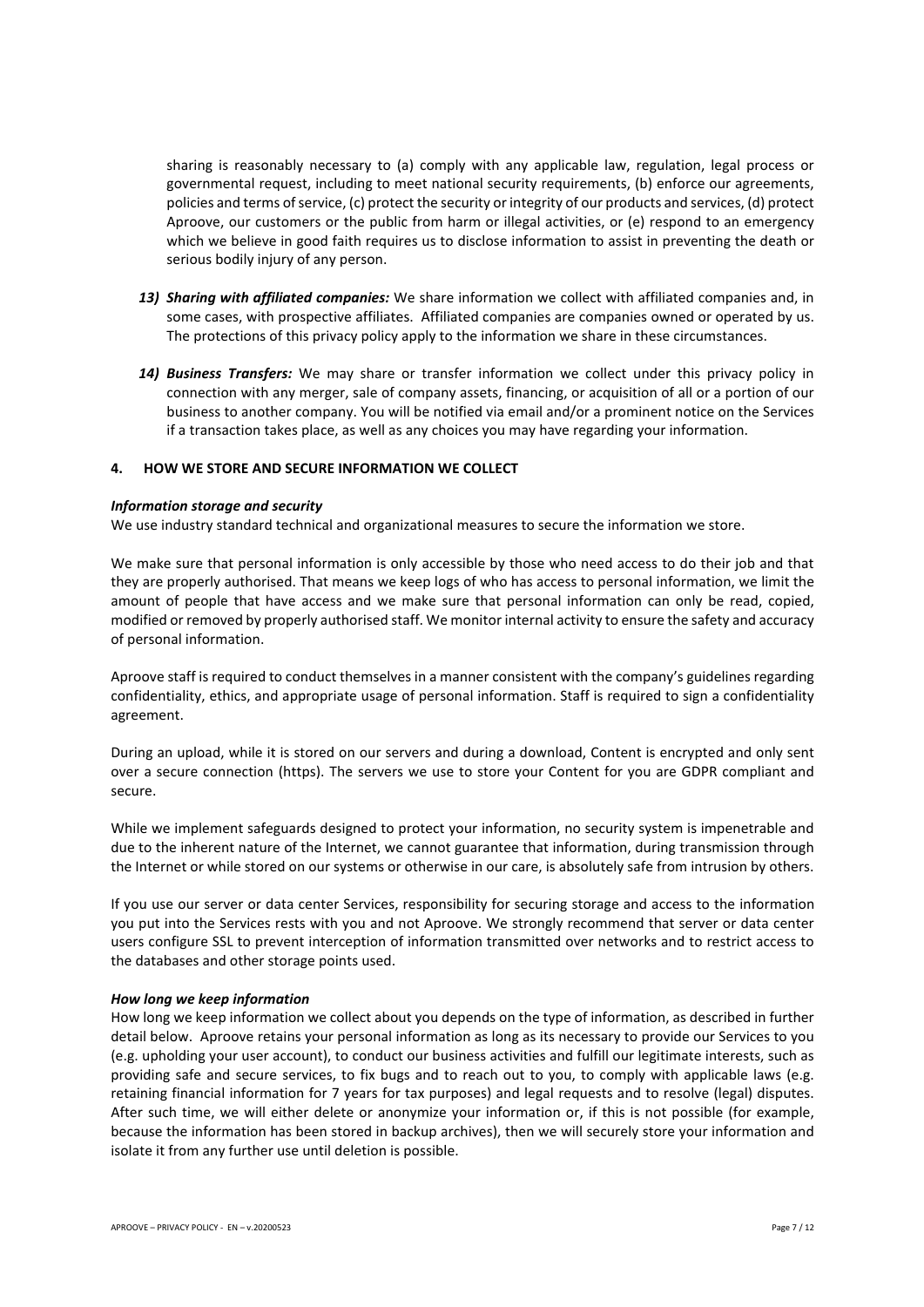sharing is reasonably necessary to (a) comply with any applicable law, regulation, legal process or governmental request, including to meet national security requirements, (b) enforce our agreements, policies and terms of service, (c) protect the security or integrity of our products and services, (d) protect Aproove, our customers or the public from harm or illegal activities, or (e) respond to an emergency which we believe in good faith requires us to disclose information to assist in preventing the death or serious bodily injury of any person.

- *13) Sharing with affiliated companies:* We share information we collect with affiliated companies and, in some cases, with prospective affiliates. Affiliated companies are companies owned or operated by us. The protections of this privacy policy apply to the information we share in these circumstances.
- *14) Business Transfers:* We may share or transfer information we collect under this privacy policy in connection with any merger, sale of company assets, financing, or acquisition of all or a portion of our business to another company. You will be notified via email and/or a prominent notice on the Services if a transaction takes place, as well as any choices you may have regarding your information.

# **4. HOW WE STORE AND SECURE INFORMATION WE COLLECT**

#### *Information storage and security*

We use industry standard technical and organizational measures to secure the information we store.

We make sure that personal information is only accessible by those who need access to do their job and that they are properly authorised. That means we keep logs of who has access to personal information, we limit the amount of people that have access and we make sure that personal information can only be read, copied, modified or removed by properly authorised staff. We monitor internal activity to ensure the safety and accuracy of personal information.

Aproove staff is required to conduct themselves in a manner consistent with the company's guidelines regarding confidentiality, ethics, and appropriate usage of personal information. Staff is required to sign a confidentiality agreement.

During an upload, while it is stored on our servers and during a download, Content is encrypted and only sent over a secure connection (https). The servers we use to store your Content for you are GDPR compliant and secure.

While we implement safeguards designed to protect your information, no security system is impenetrable and due to the inherent nature of the Internet, we cannot guarantee that information, during transmission through the Internet or while stored on our systems or otherwise in our care, is absolutely safe from intrusion by others.

If you use our server or data center Services, responsibility for securing storage and access to the information you put into the Services rests with you and not Aproove. We strongly recommend that server or data center users configure SSL to prevent interception of information transmitted over networks and to restrict access to the databases and other storage points used.

## *How long we keep information*

How long we keep information we collect about you depends on the type of information, as described in further detail below. Aproove retains your personal information as long as its necessary to provide our Services to you (e.g. upholding your user account), to conduct our business activities and fulfill our legitimate interests, such as providing safe and secure services, to fix bugs and to reach out to you, to comply with applicable laws (e.g. retaining financial information for 7 years for tax purposes) and legal requests and to resolve (legal) disputes. After such time, we will either delete or anonymize your information or, if this is not possible (for example, because the information has been stored in backup archives), then we will securely store your information and isolate it from any further use until deletion is possible.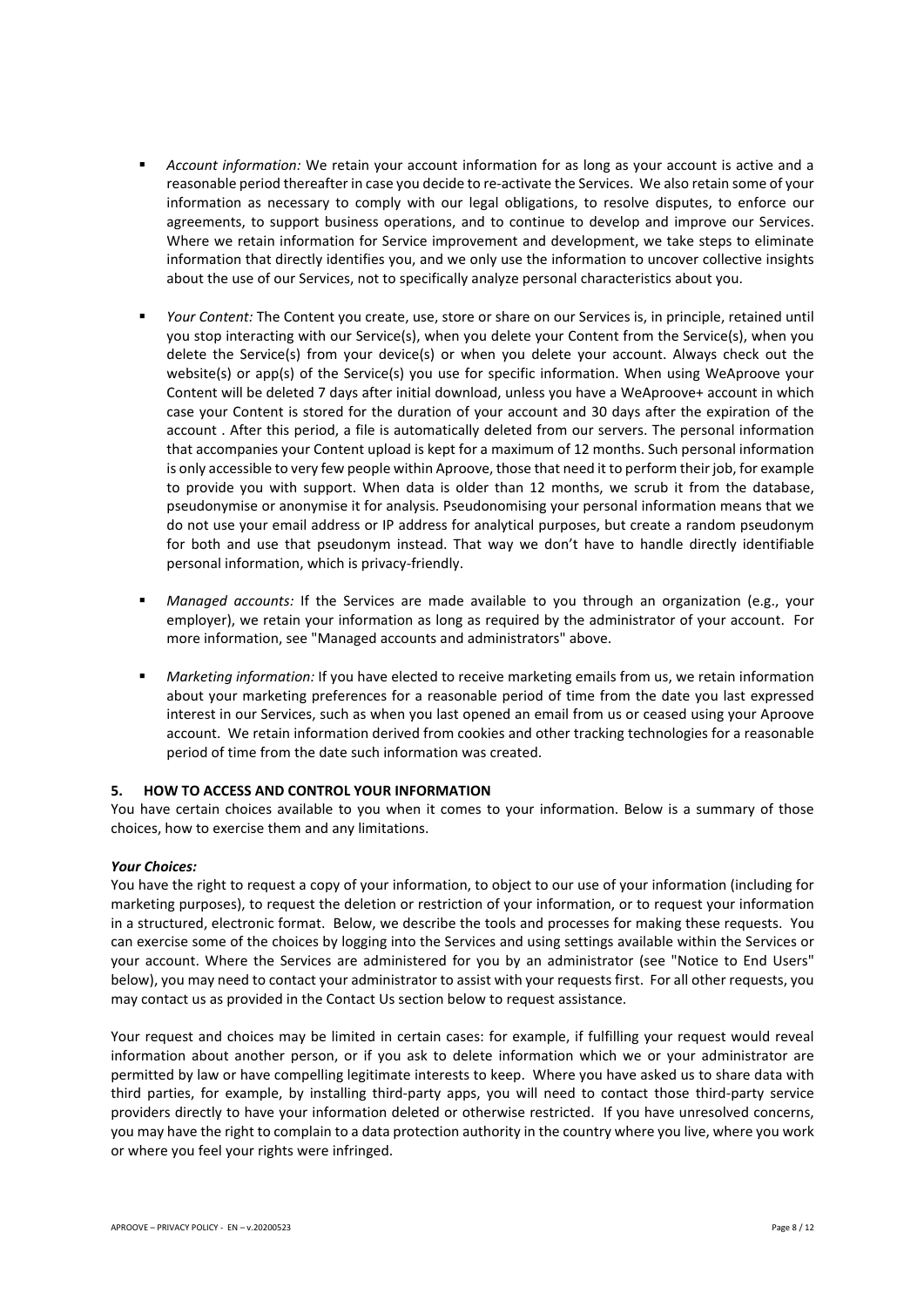- § *Account information:* We retain your account information for as long as your account is active and a reasonable period thereafter in case you decide to re-activate the Services. We also retain some of your information as necessary to comply with our legal obligations, to resolve disputes, to enforce our agreements, to support business operations, and to continue to develop and improve our Services. Where we retain information for Service improvement and development, we take steps to eliminate information that directly identifies you, and we only use the information to uncover collective insights about the use of our Services, not to specifically analyze personal characteristics about you.
- § *Your Content:* The Content you create, use, store or share on our Services is, in principle, retained until you stop interacting with our Service(s), when you delete your Content from the Service(s), when you delete the Service(s) from your device(s) or when you delete your account. Always check out the website(s) or app(s) of the Service(s) you use for specific information. When using WeAproove your Content will be deleted 7 days after initial download, unless you have a WeAproove+ account in which case your Content is stored for the duration of your account and 30 days after the expiration of the account . After this period, a file is automatically deleted from our servers. The personal information that accompanies your Content upload is kept for a maximum of 12 months. Such personal information is only accessible to very few people within Aproove, those that need it to perform their job, for example to provide you with support. When data is older than 12 months, we scrub it from the database, pseudonymise or anonymise it for analysis. Pseudonomising your personal information means that we do not use your email address or IP address for analytical purposes, but create a random pseudonym for both and use that pseudonym instead. That way we don't have to handle directly identifiable personal information, which is privacy-friendly.
- § *Managed accounts:* If the Services are made available to you through an organization (e.g., your employer), we retain your information as long as required by the administrator of your account. For more information, see "Managed accounts and administrators" above.
- *Marketing information:* If you have elected to receive marketing emails from us, we retain information about your marketing preferences for a reasonable period of time from the date you last expressed interest in our Services, such as when you last opened an email from us or ceased using your Aproove account. We retain information derived from cookies and other tracking technologies for a reasonable period of time from the date such information was created.

# **5. HOW TO ACCESS AND CONTROL YOUR INFORMATION**

You have certain choices available to you when it comes to your information. Below is a summary of those choices, how to exercise them and any limitations.

#### *Your Choices:*

You have the right to request a copy of your information, to object to our use of your information (including for marketing purposes), to request the deletion or restriction of your information, or to request your information in a structured, electronic format. Below, we describe the tools and processes for making these requests. You can exercise some of the choices by logging into the Services and using settings available within the Services or your account. Where the Services are administered for you by an administrator (see "Notice to End Users" below), you may need to contact your administrator to assist with your requests first. For all other requests, you may contact us as provided in the Contact Us section below to request assistance.

Your request and choices may be limited in certain cases: for example, if fulfilling your request would reveal information about another person, or if you ask to delete information which we or your administrator are permitted by law or have compelling legitimate interests to keep. Where you have asked us to share data with third parties, for example, by installing third-party apps, you will need to contact those third-party service providers directly to have your information deleted or otherwise restricted. If you have unresolved concerns, you may have the right to complain to a data protection authority in the country where you live, where you work or where you feel your rights were infringed.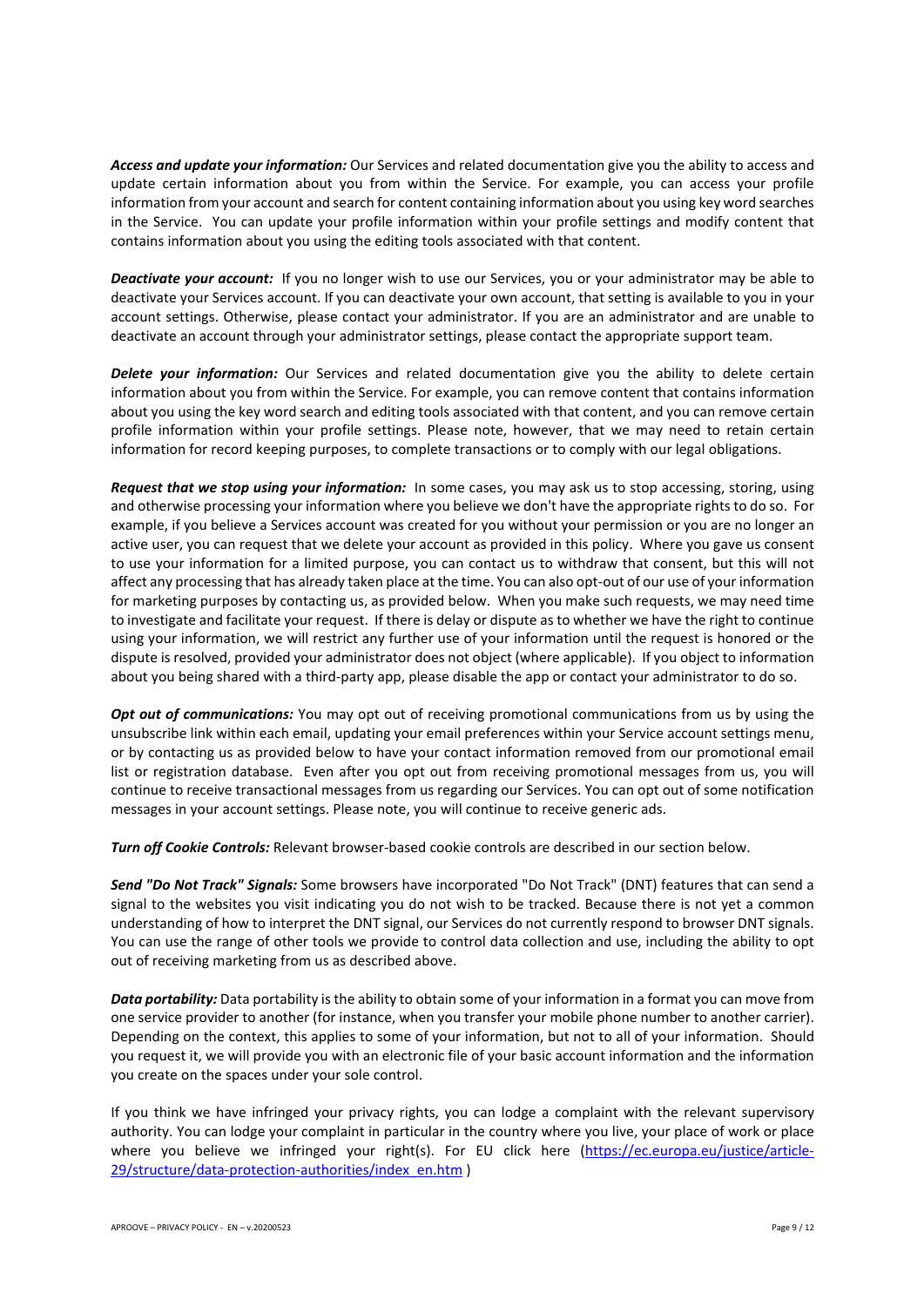*Access and update your information:* Our Services and related documentation give you the ability to access and update certain information about you from within the Service. For example, you can access your profile information from your account and search for content containing information about you using key word searches in the Service. You can update your profile information within your profile settings and modify content that contains information about you using the editing tools associated with that content.

*Deactivate your account:* If you no longer wish to use our Services, you or your administrator may be able to deactivate your Services account. If you can deactivate your own account, that setting is available to you in your account settings. Otherwise, please contact your administrator. If you are an administrator and are unable to deactivate an account through your administrator settings, please contact the appropriate support team.

*Delete your information:* Our Services and related documentation give you the ability to delete certain information about you from within the Service. For example, you can remove content that contains information about you using the key word search and editing tools associated with that content, and you can remove certain profile information within your profile settings. Please note, however, that we may need to retain certain information for record keeping purposes, to complete transactions or to comply with our legal obligations.

*Request that we stop using your information:* In some cases, you may ask us to stop accessing, storing, using and otherwise processing your information where you believe we don't have the appropriate rights to do so. For example, if you believe a Services account was created for you without your permission or you are no longer an active user, you can request that we delete your account as provided in this policy. Where you gave us consent to use your information for a limited purpose, you can contact us to withdraw that consent, but this will not affect any processing that has already taken place at the time. You can also opt-out of our use of your information for marketing purposes by contacting us, as provided below. When you make such requests, we may need time to investigate and facilitate your request. If there is delay or dispute as to whether we have the right to continue using your information, we will restrict any further use of your information until the request is honored or the dispute is resolved, provided your administrator does not object (where applicable). If you object to information about you being shared with a third-party app, please disable the app or contact your administrator to do so.

*Opt out of communications:* You may opt out of receiving promotional communications from us by using the unsubscribe link within each email, updating your email preferences within your Service account settings menu, or by contacting us as provided below to have your contact information removed from our promotional email list or registration database. Even after you opt out from receiving promotional messages from us, you will continue to receive transactional messages from us regarding our Services. You can opt out of some notification messages in your account settings. Please note, you will continue to receive generic ads.

*Turn off Cookie Controls:* Relevant browser-based cookie controls are described in our section below.

*Send "Do Not Track" Signals:* Some browsers have incorporated "Do Not Track" (DNT) features that can send a signal to the websites you visit indicating you do not wish to be tracked. Because there is not yet a common understanding of how to interpret the DNT signal, our Services do not currently respond to browser DNT signals. You can use the range of other tools we provide to control data collection and use, including the ability to opt out of receiving marketing from us as described above.

*Data portability:* Data portability is the ability to obtain some of your information in a format you can move from one service provider to another (for instance, when you transfer your mobile phone number to another carrier). Depending on the context, this applies to some of your information, but not to all of your information. Should you request it, we will provide you with an electronic file of your basic account information and the information you create on the spaces under your sole control.

If you think we have infringed your privacy rights, you can lodge a complaint with the relevant supervisory authority. You can lodge your complaint in particular in the country where you live, your place of work or place where you believe we infringed your right(s). For EU click here (https://ec.europa.eu/justice/article-29/structure/data-protection-authorities/index\_en.htm )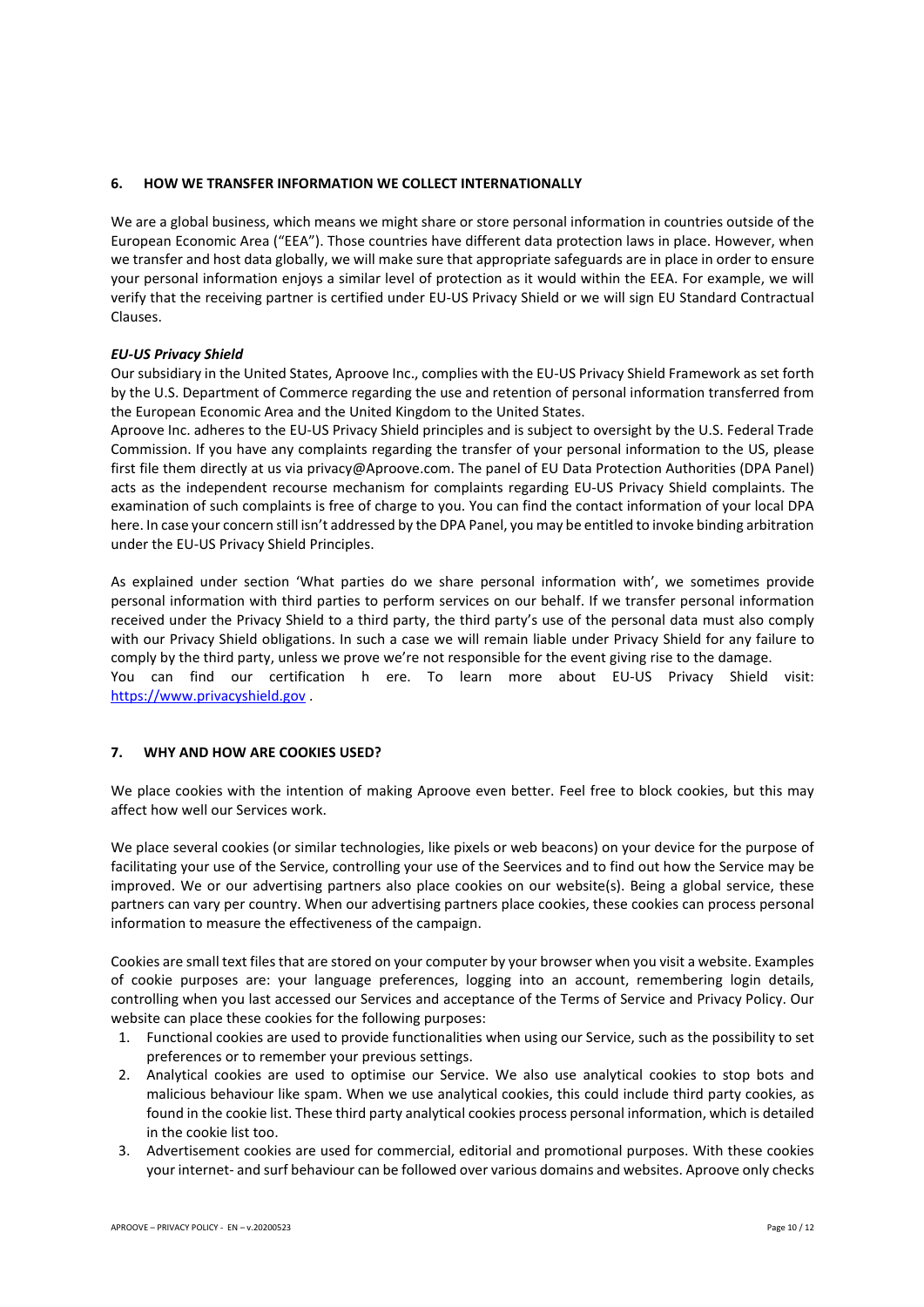# **6. HOW WE TRANSFER INFORMATION WE COLLECT INTERNATIONALLY**

We are a global business, which means we might share or store personal information in countries outside of the European Economic Area ("EEA"). Those countries have different data protection laws in place. However, when we transfer and host data globally, we will make sure that appropriate safeguards are in place in order to ensure your personal information enjoys a similar level of protection as it would within the EEA. For example, we will verify that the receiving partner is certified under EU-US Privacy Shield or we will sign EU Standard Contractual Clauses.

# *EU-US Privacy Shield*

Our subsidiary in the United States, Aproove Inc., complies with the EU-US Privacy Shield Framework as set forth by the U.S. Department of Commerce regarding the use and retention of personal information transferred from the European Economic Area and the United Kingdom to the United States.

Aproove Inc. adheres to the EU-US Privacy Shield principles and is subject to oversight by the U.S. Federal Trade Commission. If you have any complaints regarding the transfer of your personal information to the US, please first file them directly at us via privacy@Aproove.com. The panel of EU Data Protection Authorities (DPA Panel) acts as the independent recourse mechanism for complaints regarding EU-US Privacy Shield complaints. The examination of such complaints is free of charge to you. You can find the contact information of your local DPA here. In case your concern still isn't addressed by the DPA Panel, you may be entitled to invoke binding arbitration under the EU-US Privacy Shield Principles.

As explained under section 'What parties do we share personal information with', we sometimes provide personal information with third parties to perform services on our behalf. If we transfer personal information received under the Privacy Shield to a third party, the third party's use of the personal data must also comply with our Privacy Shield obligations. In such a case we will remain liable under Privacy Shield for any failure to comply by the third party, unless we prove we're not responsible for the event giving rise to the damage. You can find our certification h ere. To learn more about EU-US Privacy Shield visit: https://www.privacyshield.gov .

# **7. WHY AND HOW ARE COOKIES USED?**

We place cookies with the intention of making Aproove even better. Feel free to block cookies, but this may affect how well our Services work.

We place several cookies (or similar technologies, like pixels or web beacons) on your device for the purpose of facilitating your use of the Service, controlling your use of the Seervices and to find out how the Service may be improved. We or our advertising partners also place cookies on our website(s). Being a global service, these partners can vary per country. When our advertising partners place cookies, these cookies can process personal information to measure the effectiveness of the campaign.

Cookies are small text files that are stored on your computer by your browser when you visit a website. Examples of cookie purposes are: your language preferences, logging into an account, remembering login details, controlling when you last accessed our Services and acceptance of the Terms of Service and Privacy Policy. Our website can place these cookies for the following purposes:

- 1. Functional cookies are used to provide functionalities when using our Service, such as the possibility to set preferences or to remember your previous settings.
- 2. Analytical cookies are used to optimise our Service. We also use analytical cookies to stop bots and malicious behaviour like spam. When we use analytical cookies, this could include third party cookies, as found in the cookie list. These third party analytical cookies process personal information, which is detailed in the cookie list too.
- 3. Advertisement cookies are used for commercial, editorial and promotional purposes. With these cookies your internet- and surf behaviour can be followed over various domains and websites. Aproove only checks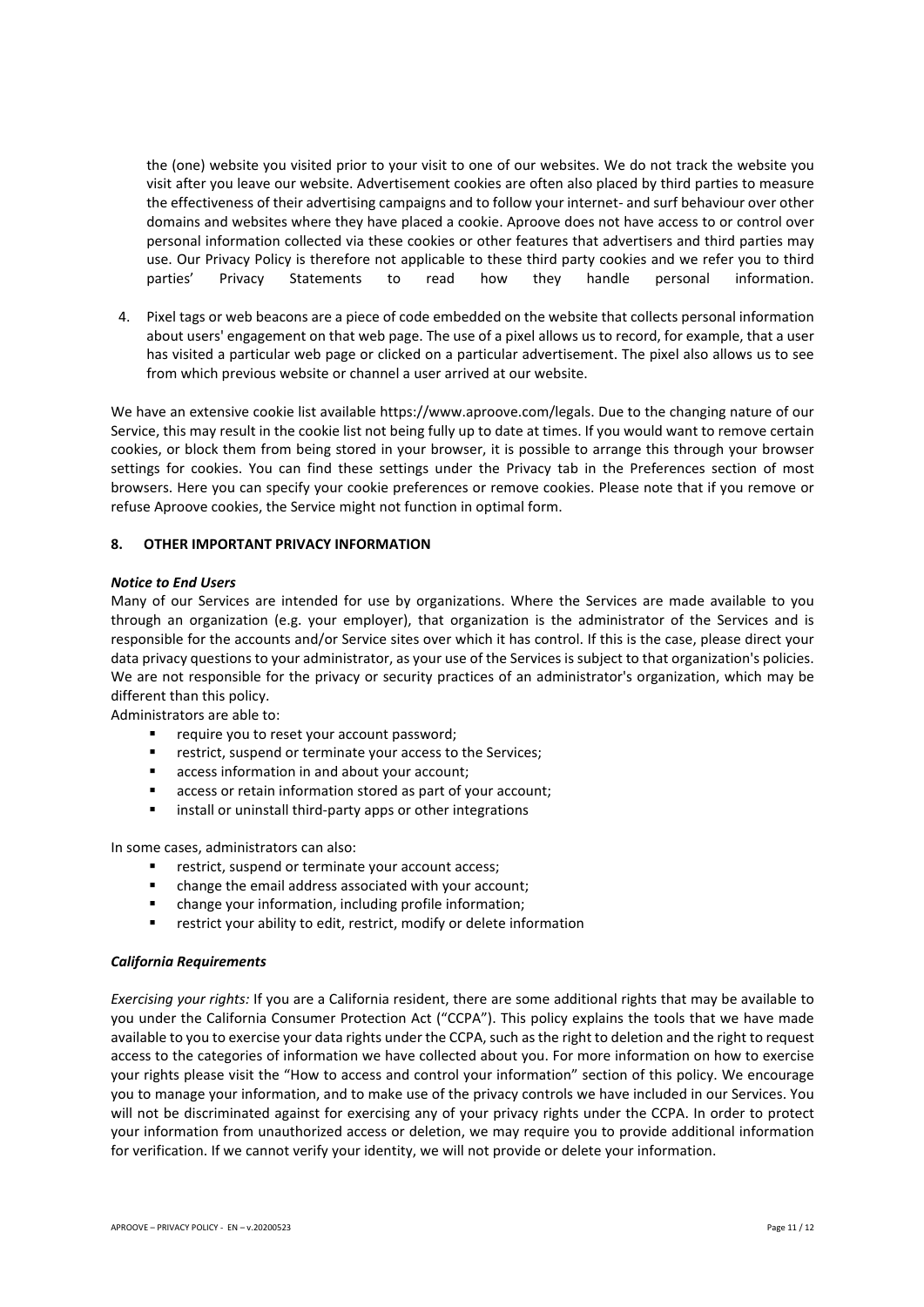the (one) website you visited prior to your visit to one of our websites. We do not track the website you visit after you leave our website. Advertisement cookies are often also placed by third parties to measure the effectiveness of their advertising campaigns and to follow your internet- and surf behaviour over other domains and websites where they have placed a cookie. Aproove does not have access to or control over personal information collected via these cookies or other features that advertisers and third parties may use. Our Privacy Policy is therefore not applicable to these third party cookies and we refer you to third parties' Privacy Statements to read how they handle personal information.

4. Pixel tags or web beacons are a piece of code embedded on the website that collects personal information about users' engagement on that web page. The use of a pixel allows us to record, for example, that a user has visited a particular web page or clicked on a particular advertisement. The pixel also allows us to see from which previous website or channel a user arrived at our website.

We have an extensive cookie list available https://www.aproove.com/legals. Due to the changing nature of our Service, this may result in the cookie list not being fully up to date at times. If you would want to remove certain cookies, or block them from being stored in your browser, it is possible to arrange this through your browser settings for cookies. You can find these settings under the Privacy tab in the Preferences section of most browsers. Here you can specify your cookie preferences or remove cookies. Please note that if you remove or refuse Aproove cookies, the Service might not function in optimal form.

# **8. OTHER IMPORTANT PRIVACY INFORMATION**

## *Notice to End Users*

Many of our Services are intended for use by organizations. Where the Services are made available to you through an organization (e.g. your employer), that organization is the administrator of the Services and is responsible for the accounts and/or Service sites over which it has control. If this is the case, please direct your data privacy questions to your administrator, as your use of the Services is subject to that organization's policies. We are not responsible for the privacy or security practices of an administrator's organization, which may be different than this policy.

Administrators are able to:

- require you to reset your account password;
- restrict, suspend or terminate your access to the Services;
- access information in and about your account;
- access or retain information stored as part of your account;
- install or uninstall third-party apps or other integrations

In some cases, administrators can also:

- restrict, suspend or terminate your account access;
- change the email address associated with your account;
- change your information, including profile information;
- restrict your ability to edit, restrict, modify or delete information

#### *California Requirements*

*Exercising your rights:* If you are a California resident, there are some additional rights that may be available to you under the California Consumer Protection Act ("CCPA"). This policy explains the tools that we have made available to you to exercise your data rights under the CCPA, such as the right to deletion and the right to request access to the categories of information we have collected about you. For more information on how to exercise your rights please visit the "How to access and control your information" section of this policy. We encourage you to manage your information, and to make use of the privacy controls we have included in our Services. You will not be discriminated against for exercising any of your privacy rights under the CCPA. In order to protect your information from unauthorized access or deletion, we may require you to provide additional information for verification. If we cannot verify your identity, we will not provide or delete your information.